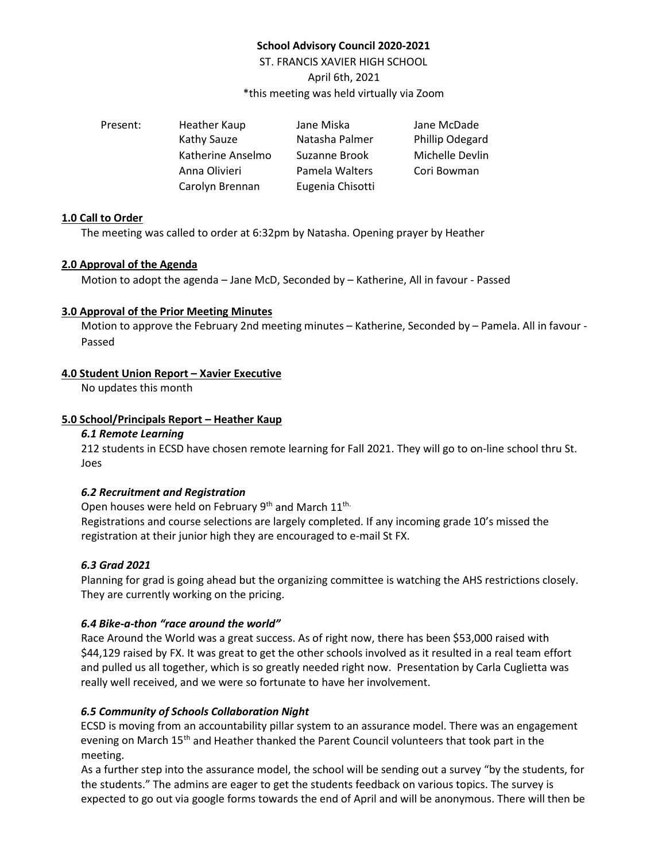# **School Advisory Council 2020-2021**

ST. FRANCIS XAVIER HIGH SCHOOL April 6th, 2021 \*this meeting was held virtually via Zoom

| Present: | Heather Kaup      | Jane Miska       | Jane McDade     |
|----------|-------------------|------------------|-----------------|
|          | Kathy Sauze       | Natasha Palmer   | Phillip Odegard |
|          | Katherine Anselmo | Suzanne Brook    | Michelle Devlin |
|          | Anna Olivieri     | Pamela Walters   | Cori Bowman     |
|          | Carolyn Brennan   | Eugenia Chisotti |                 |

### **1.0 Call to Order**

The meeting was called to order at 6:32pm by Natasha. Opening prayer by Heather

### **2.0 Approval of the Agenda**

Motion to adopt the agenda – Jane McD, Seconded by – Katherine, All in favour - Passed

### **3.0 Approval of the Prior Meeting Minutes**

Motion to approve the February 2nd meeting minutes – Katherine, Seconded by – Pamela. All in favour - Passed

# **4.0 Student Union Report – Xavier Executive**

No updates this month

### **5.0 School/Principals Report – Heather Kaup**

### *6.1 Remote Learning*

212 students in ECSD have chosen remote learning for Fall 2021. They will go to on-line school thru St. Joes

# *6.2 Recruitment and Registration*

Open houses were held on February 9<sup>th</sup> and March 11<sup>th.</sup> Registrations and course selections are largely completed. If any incoming grade 10's missed the registration at their junior high they are encouraged to e-mail St FX.

# *6.3 Grad 2021*

Planning for grad is going ahead but the organizing committee is watching the AHS restrictions closely. They are currently working on the pricing.

# *6.4 Bike-a-thon "race around the world"*

Race Around the World was a great success. As of right now, there has been \$53,000 raised with \$44,129 raised by FX. It was great to get the other schools involved as it resulted in a real team effort and pulled us all together, which is so greatly needed right now. Presentation by Carla Cuglietta was really well received, and we were so fortunate to have her involvement.

# *6.5 Community of Schools Collaboration Night*

ECSD is moving from an accountability pillar system to an assurance model. There was an engagement evening on March 15<sup>th</sup> and Heather thanked the Parent Council volunteers that took part in the meeting.

As a further step into the assurance model, the school will be sending out a survey "by the students, for the students." The admins are eager to get the students feedback on various topics. The survey is expected to go out via google forms towards the end of April and will be anonymous. There will then be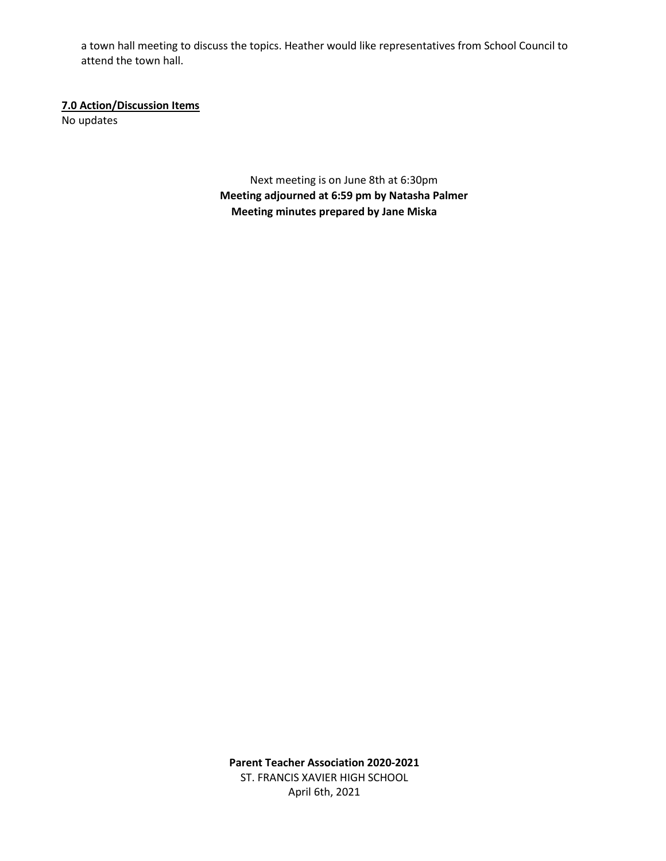a town hall meeting to discuss the topics. Heather would like representatives from School Council to attend the town hall.

# **7.0 Action/Discussion Items**

No updates

Next meeting is on June 8th at 6:30pm **Meeting adjourned at 6:59 pm by Natasha Palmer Meeting minutes prepared by Jane Miska**

**Parent Teacher Association 2020-2021** ST. FRANCIS XAVIER HIGH SCHOOL April 6th, 2021